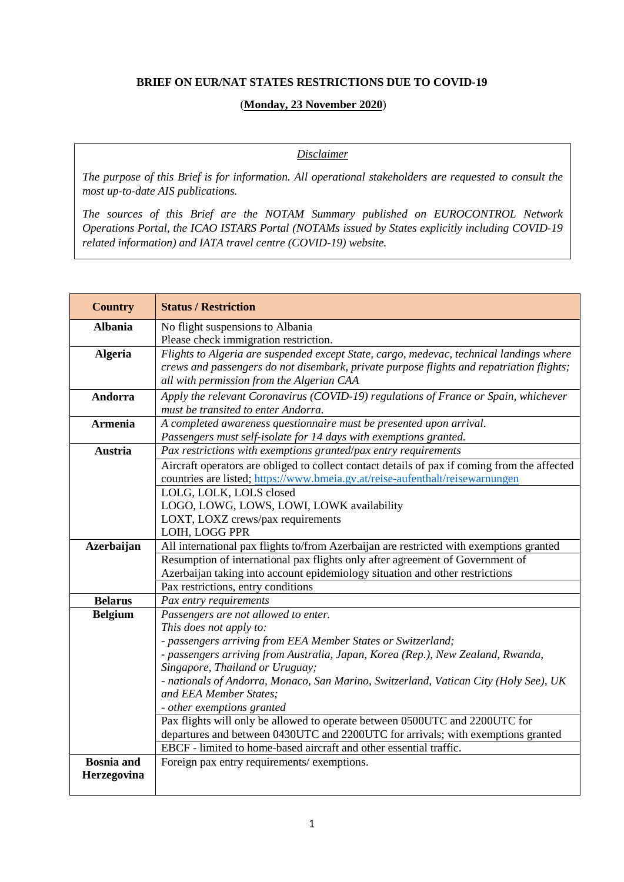## **BRIEF ON EUR/NAT STATES RESTRICTIONS DUE TO COVID-19**

## (**Monday, 23 November 2020**)

## *Disclaimer*

The purpose of this Brief is for information. All operational stakeholders are requested to consult the *most up-to-date AIS publications.*

*The sources of this Brief are the NOTAM Summary published on EUROCONTROL Network Operations Portal, the ICAO ISTARS Portal (NOTAMs issued by States explicitly including COVID-19 related information) and IATA travel centre (COVID-19) website.*

| <b>Country</b>    | <b>Status / Restriction</b>                                                                                        |
|-------------------|--------------------------------------------------------------------------------------------------------------------|
| <b>Albania</b>    | No flight suspensions to Albania                                                                                   |
|                   | Please check immigration restriction.                                                                              |
| <b>Algeria</b>    | Flights to Algeria are suspended except State, cargo, medevac, technical landings where                            |
|                   | crews and passengers do not disembark, private purpose flights and repatriation flights;                           |
|                   | all with permission from the Algerian CAA                                                                          |
| Andorra           | Apply the relevant Coronavirus (COVID-19) regulations of France or Spain, whichever                                |
|                   | must be transited to enter Andorra.                                                                                |
| <b>Armenia</b>    | A completed awareness questionnaire must be presented upon arrival.                                                |
|                   | Passengers must self-isolate for 14 days with exemptions granted.                                                  |
| <b>Austria</b>    | Pax restrictions with exemptions granted/pax entry requirements                                                    |
|                   | Aircraft operators are obliged to collect contact details of pax if coming from the affected                       |
|                   | countries are listed; https://www.bmeia.gv.at/reise-aufenthalt/reisewarnungen                                      |
|                   | LOLG, LOLK, LOLS closed                                                                                            |
|                   | LOGO, LOWG, LOWS, LOWI, LOWK availability                                                                          |
|                   | LOXT, LOXZ crews/pax requirements                                                                                  |
|                   | LOIH, LOGG PPR                                                                                                     |
| Azerbaijan        | All international pax flights to/from Azerbaijan are restricted with exemptions granted                            |
|                   | Resumption of international pax flights only after agreement of Government of                                      |
|                   | Azerbaijan taking into account epidemiology situation and other restrictions                                       |
|                   | Pax restrictions, entry conditions                                                                                 |
| <b>Belarus</b>    | Pax entry requirements                                                                                             |
| <b>Belgium</b>    | Passengers are not allowed to enter.                                                                               |
|                   | This does not apply to:                                                                                            |
|                   | - passengers arriving from EEA Member States or Switzerland;                                                       |
|                   | - passengers arriving from Australia, Japan, Korea (Rep.), New Zealand, Rwanda,<br>Singapore, Thailand or Uruguay; |
|                   | - nationals of Andorra, Monaco, San Marino, Switzerland, Vatican City (Holy See), UK                               |
|                   | and EEA Member States;                                                                                             |
|                   | - other exemptions granted                                                                                         |
|                   | Pax flights will only be allowed to operate between 0500UTC and 2200UTC for                                        |
|                   | departures and between 0430UTC and 2200UTC for arrivals; with exemptions granted                                   |
|                   | EBCF - limited to home-based aircraft and other essential traffic.                                                 |
| <b>Bosnia</b> and | Foreign pax entry requirements/ exemptions.                                                                        |
| Herzegovina       |                                                                                                                    |
|                   |                                                                                                                    |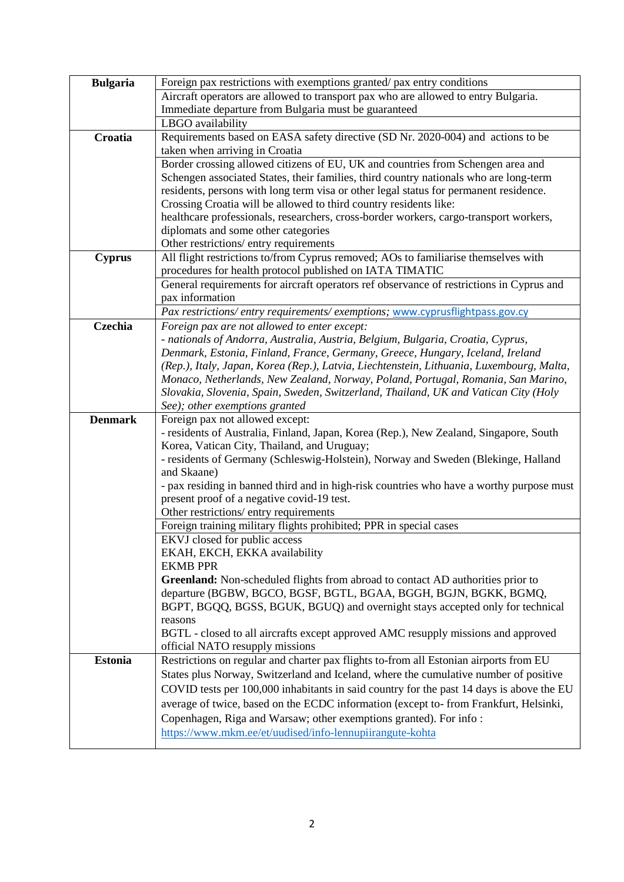| <b>Bulgaria</b> | Foreign pax restrictions with exemptions granted/ pax entry conditions                                                                                                                                                                                                                                                                                                                                                                                                                                                                |
|-----------------|---------------------------------------------------------------------------------------------------------------------------------------------------------------------------------------------------------------------------------------------------------------------------------------------------------------------------------------------------------------------------------------------------------------------------------------------------------------------------------------------------------------------------------------|
|                 | Aircraft operators are allowed to transport pax who are allowed to entry Bulgaria.                                                                                                                                                                                                                                                                                                                                                                                                                                                    |
|                 | Immediate departure from Bulgaria must be guaranteed                                                                                                                                                                                                                                                                                                                                                                                                                                                                                  |
|                 | LBGO availability                                                                                                                                                                                                                                                                                                                                                                                                                                                                                                                     |
| Croatia         | Requirements based on EASA safety directive (SD Nr. 2020-004) and actions to be                                                                                                                                                                                                                                                                                                                                                                                                                                                       |
|                 | taken when arriving in Croatia                                                                                                                                                                                                                                                                                                                                                                                                                                                                                                        |
|                 | Border crossing allowed citizens of EU, UK and countries from Schengen area and                                                                                                                                                                                                                                                                                                                                                                                                                                                       |
|                 | Schengen associated States, their families, third country nationals who are long-term                                                                                                                                                                                                                                                                                                                                                                                                                                                 |
|                 | residents, persons with long term visa or other legal status for permanent residence.                                                                                                                                                                                                                                                                                                                                                                                                                                                 |
|                 | Crossing Croatia will be allowed to third country residents like:                                                                                                                                                                                                                                                                                                                                                                                                                                                                     |
|                 | healthcare professionals, researchers, cross-border workers, cargo-transport workers,                                                                                                                                                                                                                                                                                                                                                                                                                                                 |
|                 | diplomats and some other categories                                                                                                                                                                                                                                                                                                                                                                                                                                                                                                   |
|                 | Other restrictions/entry requirements                                                                                                                                                                                                                                                                                                                                                                                                                                                                                                 |
| <b>Cyprus</b>   | All flight restrictions to/from Cyprus removed; AOs to familiarise themselves with                                                                                                                                                                                                                                                                                                                                                                                                                                                    |
|                 | procedures for health protocol published on IATA TIMATIC                                                                                                                                                                                                                                                                                                                                                                                                                                                                              |
|                 | General requirements for aircraft operators ref observance of restrictions in Cyprus and                                                                                                                                                                                                                                                                                                                                                                                                                                              |
|                 | pax information                                                                                                                                                                                                                                                                                                                                                                                                                                                                                                                       |
|                 | Pax restrictions/entry requirements/exemptions; www.cyprusflightpass.gov.cy                                                                                                                                                                                                                                                                                                                                                                                                                                                           |
| Czechia         | Foreign pax are not allowed to enter except:                                                                                                                                                                                                                                                                                                                                                                                                                                                                                          |
|                 | - nationals of Andorra, Australia, Austria, Belgium, Bulgaria, Croatia, Cyprus,                                                                                                                                                                                                                                                                                                                                                                                                                                                       |
|                 | Denmark, Estonia, Finland, France, Germany, Greece, Hungary, Iceland, Ireland<br>(Rep.), Italy, Japan, Korea (Rep.), Latvia, Liechtenstein, Lithuania, Luxembourg, Malta,                                                                                                                                                                                                                                                                                                                                                             |
|                 | Monaco, Netherlands, New Zealand, Norway, Poland, Portugal, Romania, San Marino,                                                                                                                                                                                                                                                                                                                                                                                                                                                      |
|                 | Slovakia, Slovenia, Spain, Sweden, Switzerland, Thailand, UK and Vatican City (Holy                                                                                                                                                                                                                                                                                                                                                                                                                                                   |
|                 | See); other exemptions granted                                                                                                                                                                                                                                                                                                                                                                                                                                                                                                        |
| <b>Denmark</b>  | Foreign pax not allowed except:                                                                                                                                                                                                                                                                                                                                                                                                                                                                                                       |
|                 | - residents of Australia, Finland, Japan, Korea (Rep.), New Zealand, Singapore, South                                                                                                                                                                                                                                                                                                                                                                                                                                                 |
|                 | Korea, Vatican City, Thailand, and Uruguay;                                                                                                                                                                                                                                                                                                                                                                                                                                                                                           |
|                 | - residents of Germany (Schleswig-Holstein), Norway and Sweden (Blekinge, Halland                                                                                                                                                                                                                                                                                                                                                                                                                                                     |
|                 | and Skaane)                                                                                                                                                                                                                                                                                                                                                                                                                                                                                                                           |
|                 | - pax residing in banned third and in high-risk countries who have a worthy purpose must                                                                                                                                                                                                                                                                                                                                                                                                                                              |
|                 | present proof of a negative covid-19 test.                                                                                                                                                                                                                                                                                                                                                                                                                                                                                            |
|                 | Other restrictions/entry requirements                                                                                                                                                                                                                                                                                                                                                                                                                                                                                                 |
|                 | Foreign training military flights prohibited; PPR in special cases                                                                                                                                                                                                                                                                                                                                                                                                                                                                    |
|                 | EKVJ closed for public access                                                                                                                                                                                                                                                                                                                                                                                                                                                                                                         |
|                 | EKAH, EKCH, EKKA availability                                                                                                                                                                                                                                                                                                                                                                                                                                                                                                         |
|                 | <b>EKMB PPR</b>                                                                                                                                                                                                                                                                                                                                                                                                                                                                                                                       |
|                 | Greenland: Non-scheduled flights from abroad to contact AD authorities prior to                                                                                                                                                                                                                                                                                                                                                                                                                                                       |
|                 | departure (BGBW, BGCO, BGSF, BGTL, BGAA, BGGH, BGJN, BGKK, BGMQ,                                                                                                                                                                                                                                                                                                                                                                                                                                                                      |
|                 | BGPT, BGQQ, BGSS, BGUK, BGUQ) and overnight stays accepted only for technical                                                                                                                                                                                                                                                                                                                                                                                                                                                         |
|                 | reasons                                                                                                                                                                                                                                                                                                                                                                                                                                                                                                                               |
|                 | BGTL - closed to all aircrafts except approved AMC resupply missions and approved                                                                                                                                                                                                                                                                                                                                                                                                                                                     |
|                 |                                                                                                                                                                                                                                                                                                                                                                                                                                                                                                                                       |
|                 |                                                                                                                                                                                                                                                                                                                                                                                                                                                                                                                                       |
|                 |                                                                                                                                                                                                                                                                                                                                                                                                                                                                                                                                       |
|                 |                                                                                                                                                                                                                                                                                                                                                                                                                                                                                                                                       |
|                 |                                                                                                                                                                                                                                                                                                                                                                                                                                                                                                                                       |
|                 |                                                                                                                                                                                                                                                                                                                                                                                                                                                                                                                                       |
|                 |                                                                                                                                                                                                                                                                                                                                                                                                                                                                                                                                       |
| <b>Estonia</b>  | official NATO resupply missions<br>Restrictions on regular and charter pax flights to-from all Estonian airports from EU<br>States plus Norway, Switzerland and Iceland, where the cumulative number of positive<br>COVID tests per 100,000 inhabitants in said country for the past 14 days is above the EU<br>average of twice, based on the ECDC information (except to-from Frankfurt, Helsinki,<br>Copenhagen, Riga and Warsaw; other exemptions granted). For info:<br>https://www.mkm.ee/et/uudised/info-lennupiirangute-kohta |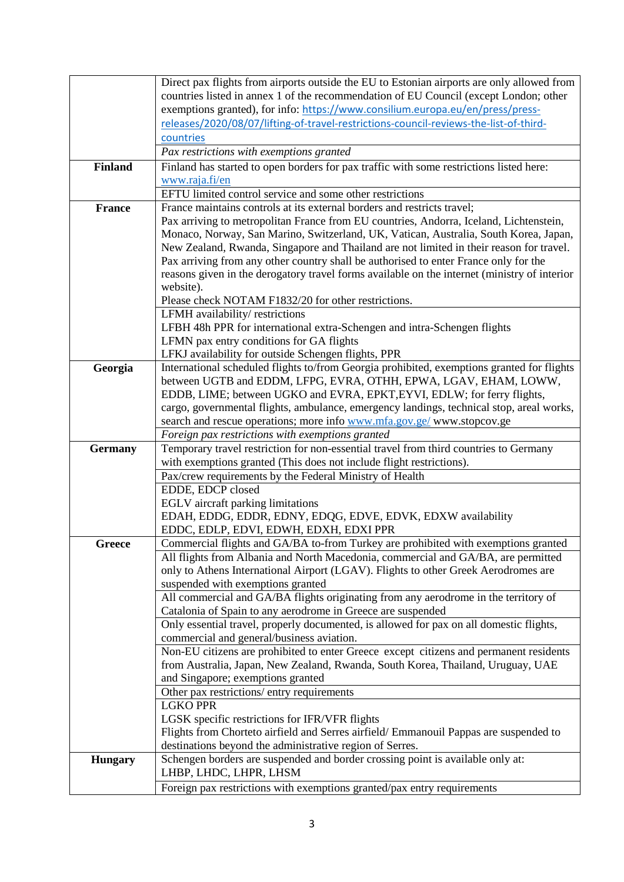|                | Direct pax flights from airports outside the EU to Estonian airports are only allowed from<br>countries listed in annex 1 of the recommendation of EU Council (except London; other |
|----------------|-------------------------------------------------------------------------------------------------------------------------------------------------------------------------------------|
|                | exemptions granted), for info: https://www.consilium.europa.eu/en/press/press-                                                                                                      |
|                | releases/2020/08/07/lifting-of-travel-restrictions-council-reviews-the-list-of-third-                                                                                               |
|                | countries                                                                                                                                                                           |
|                | Pax restrictions with exemptions granted                                                                                                                                            |
| <b>Finland</b> | Finland has started to open borders for pax traffic with some restrictions listed here:                                                                                             |
|                | www.raja.fi/en                                                                                                                                                                      |
|                | EFTU limited control service and some other restrictions                                                                                                                            |
| <b>France</b>  | France maintains controls at its external borders and restricts travel;<br>Pax arriving to metropolitan France from EU countries, Andorra, Iceland, Lichtenstein,                   |
|                | Monaco, Norway, San Marino, Switzerland, UK, Vatican, Australia, South Korea, Japan,                                                                                                |
|                | New Zealand, Rwanda, Singapore and Thailand are not limited in their reason for travel.                                                                                             |
|                | Pax arriving from any other country shall be authorised to enter France only for the                                                                                                |
|                | reasons given in the derogatory travel forms available on the internet (ministry of interior                                                                                        |
|                | website).                                                                                                                                                                           |
|                | Please check NOTAM F1832/20 for other restrictions.                                                                                                                                 |
|                | LFMH availability/restrictions                                                                                                                                                      |
|                | LFBH 48h PPR for international extra-Schengen and intra-Schengen flights                                                                                                            |
|                | LFMN pax entry conditions for GA flights                                                                                                                                            |
|                | LFKJ availability for outside Schengen flights, PPR                                                                                                                                 |
| Georgia        | International scheduled flights to/from Georgia prohibited, exemptions granted for flights<br>between UGTB and EDDM, LFPG, EVRA, OTHH, EPWA, LGAV, EHAM, LOWW,                      |
|                | EDDB, LIME; between UGKO and EVRA, EPKT, EYVI, EDLW; for ferry flights,                                                                                                             |
|                | cargo, governmental flights, ambulance, emergency landings, technical stop, areal works,                                                                                            |
|                | search and rescue operations; more info www.mfa.gov.ge/ www.stopcov.ge                                                                                                              |
|                | Foreign pax restrictions with exemptions granted                                                                                                                                    |
| <b>Germany</b> | Temporary travel restriction for non-essential travel from third countries to Germany                                                                                               |
|                | with exemptions granted (This does not include flight restrictions).                                                                                                                |
|                | Pax/crew requirements by the Federal Ministry of Health                                                                                                                             |
|                | EDDE, EDCP closed                                                                                                                                                                   |
|                | EGLV aircraft parking limitations<br>EDAH, EDDG, EDDR, EDNY, EDQG, EDVE, EDVK, EDXW availability                                                                                    |
|                | EDDC, EDLP, EDVI, EDWH, EDXH, EDXI PPR                                                                                                                                              |
| Greece         | Commercial flights and GA/BA to-from Turkey are prohibited with exemptions granted                                                                                                  |
|                | All flights from Albania and North Macedonia, commercial and GA/BA, are permitted                                                                                                   |
|                | only to Athens International Airport (LGAV). Flights to other Greek Aerodromes are                                                                                                  |
|                | suspended with exemptions granted                                                                                                                                                   |
|                | All commercial and GA/BA flights originating from any aerodrome in the territory of                                                                                                 |
|                | Catalonia of Spain to any aerodrome in Greece are suspended                                                                                                                         |
|                | Only essential travel, properly documented, is allowed for pax on all domestic flights,<br>commercial and general/business aviation.                                                |
|                | Non-EU citizens are prohibited to enter Greece except citizens and permanent residents                                                                                              |
|                | from Australia, Japan, New Zealand, Rwanda, South Korea, Thailand, Uruguay, UAE                                                                                                     |
|                | and Singapore; exemptions granted                                                                                                                                                   |
|                | Other pax restrictions/entry requirements                                                                                                                                           |
|                | <b>LGKO PPR</b>                                                                                                                                                                     |
|                | LGSK specific restrictions for IFR/VFR flights                                                                                                                                      |
|                | Flights from Chorteto airfield and Serres airfield/Emmanouil Pappas are suspended to                                                                                                |
|                | destinations beyond the administrative region of Serres.                                                                                                                            |
| <b>Hungary</b> | Schengen borders are suspended and border crossing point is available only at:<br>LHBP, LHDC, LHPR, LHSM                                                                            |
|                | Foreign pax restrictions with exemptions granted/pax entry requirements                                                                                                             |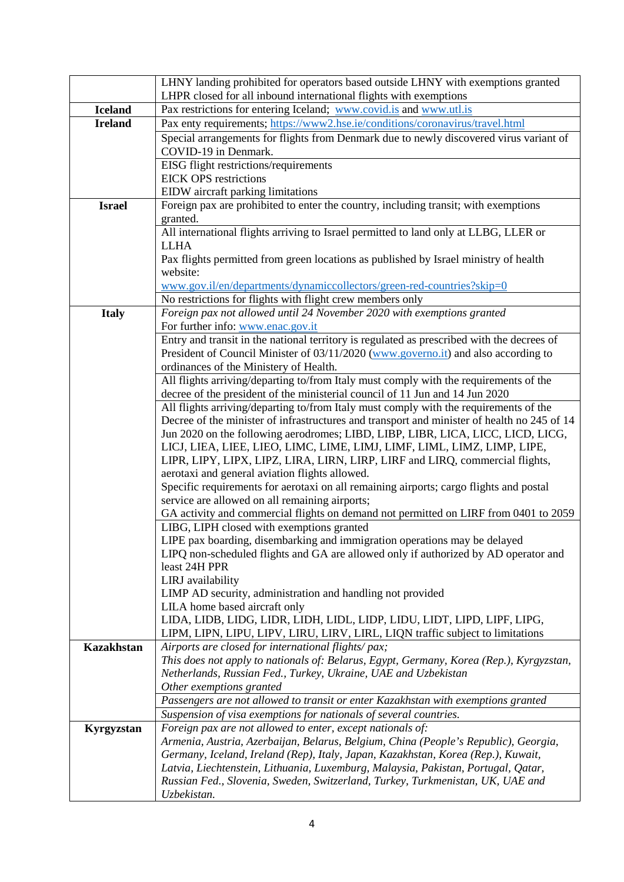| LHNY landing prohibited for operators based outside LHNY with exemptions granted                                                                                    |
|---------------------------------------------------------------------------------------------------------------------------------------------------------------------|
| LHPR closed for all inbound international flights with exemptions                                                                                                   |
| Pax restrictions for entering Iceland; www.covid.is and www.utl.is                                                                                                  |
| Pax enty requirements; https://www2.hse.ie/conditions/coronavirus/travel.html                                                                                       |
| Special arrangements for flights from Denmark due to newly discovered virus variant of                                                                              |
| COVID-19 in Denmark.                                                                                                                                                |
| EISG flight restrictions/requirements                                                                                                                               |
| <b>EICK OPS</b> restrictions                                                                                                                                        |
| EIDW aircraft parking limitations                                                                                                                                   |
| Foreign pax are prohibited to enter the country, including transit; with exemptions                                                                                 |
| granted.<br>All international flights arriving to Israel permitted to land only at LLBG, LLER or                                                                    |
| <b>LLHA</b>                                                                                                                                                         |
| Pax flights permitted from green locations as published by Israel ministry of health                                                                                |
| website:                                                                                                                                                            |
| www.gov.il/en/departments/dynamiccollectors/green-red-countries?skip=0                                                                                              |
| No restrictions for flights with flight crew members only                                                                                                           |
| Foreign pax not allowed until 24 November 2020 with exemptions granted                                                                                              |
| For further info: www.enac.gov.it                                                                                                                                   |
| Entry and transit in the national territory is regulated as prescribed with the decrees of                                                                          |
| President of Council Minister of 03/11/2020 (www.governo.it) and also according to                                                                                  |
| ordinances of the Ministery of Health.                                                                                                                              |
| All flights arriving/departing to/from Italy must comply with the requirements of the                                                                               |
| decree of the president of the ministerial council of 11 Jun and 14 Jun 2020                                                                                        |
| All flights arriving/departing to/from Italy must comply with the requirements of the                                                                               |
| Decree of the minister of infrastructures and transport and minister of health no 245 of 14                                                                         |
| Jun 2020 on the following aerodromes; LIBD, LIBP, LIBR, LICA, LICC, LICD, LICG,                                                                                     |
| LICJ, LIEA, LIEE, LIEO, LIMC, LIME, LIMJ, LIMF, LIML, LIMZ, LIMP, LIPE,                                                                                             |
| LIPR, LIPY, LIPX, LIPZ, LIRA, LIRN, LIRP, LIRF and LIRQ, commercial flights,                                                                                        |
| aerotaxi and general aviation flights allowed.                                                                                                                      |
| Specific requirements for aerotaxi on all remaining airports; cargo flights and postal                                                                              |
| service are allowed on all remaining airports;                                                                                                                      |
| GA activity and commercial flights on demand not permitted on LIRF from 0401 to 2059<br>LIBG, LIPH closed with exemptions granted                                   |
| LIPE pax boarding, disembarking and immigration operations may be delayed                                                                                           |
| LIPQ non-scheduled flights and GA are allowed only if authorized by AD operator and                                                                                 |
| least 24H PPR                                                                                                                                                       |
| LIRJ availability                                                                                                                                                   |
| LIMP AD security, administration and handling not provided                                                                                                          |
| LILA home based aircraft only                                                                                                                                       |
| LIDA, LIDB, LIDG, LIDR, LIDH, LIDL, LIDP, LIDU, LIDT, LIPD, LIPF, LIPG,                                                                                             |
| LIPM, LIPN, LIPU, LIPV, LIRU, LIRV, LIRL, LIQN traffic subject to limitations                                                                                       |
| Airports are closed for international flights/pax;                                                                                                                  |
| This does not apply to nationals of: Belarus, Egypt, Germany, Korea (Rep.), Kyrgyzstan,                                                                             |
| Netherlands, Russian Fed., Turkey, Ukraine, UAE and Uzbekistan                                                                                                      |
| Other exemptions granted                                                                                                                                            |
| Passengers are not allowed to transit or enter Kazakhstan with exemptions granted                                                                                   |
| Suspension of visa exemptions for nationals of several countries.                                                                                                   |
| Foreign pax are not allowed to enter, except nationals of:                                                                                                          |
|                                                                                                                                                                     |
| Armenia, Austria, Azerbaijan, Belarus, Belgium, China (People's Republic), Georgia,                                                                                 |
| Germany, Iceland, Ireland (Rep), Italy, Japan, Kazakhstan, Korea (Rep.), Kuwait,                                                                                    |
| Latvia, Liechtenstein, Lithuania, Luxemburg, Malaysia, Pakistan, Portugal, Qatar,<br>Russian Fed., Slovenia, Sweden, Switzerland, Turkey, Turkmenistan, UK, UAE and |
|                                                                                                                                                                     |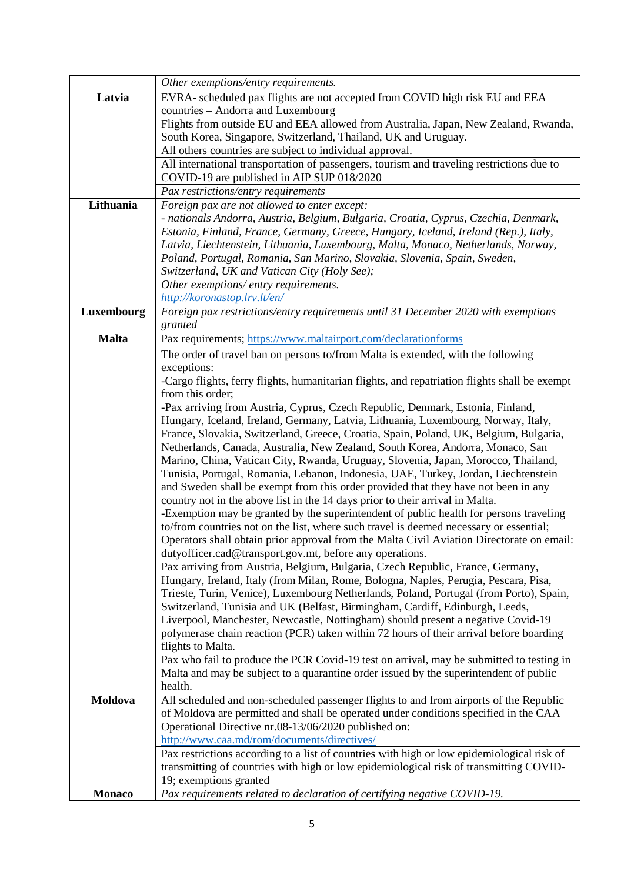|               | Other exemptions/entry requirements.                                                          |
|---------------|-----------------------------------------------------------------------------------------------|
| Latvia        | EVRA- scheduled pax flights are not accepted from COVID high risk EU and EEA                  |
|               | countries - Andorra and Luxembourg                                                            |
|               | Flights from outside EU and EEA allowed from Australia, Japan, New Zealand, Rwanda,           |
|               | South Korea, Singapore, Switzerland, Thailand, UK and Uruguay.                                |
|               | All others countries are subject to individual approval.                                      |
|               | All international transportation of passengers, tourism and traveling restrictions due to     |
|               | COVID-19 are published in AIP SUP 018/2020                                                    |
|               | Pax restrictions/entry requirements                                                           |
| Lithuania     | Foreign pax are not allowed to enter except:                                                  |
|               | - nationals Andorra, Austria, Belgium, Bulgaria, Croatia, Cyprus, Czechia, Denmark,           |
|               | Estonia, Finland, France, Germany, Greece, Hungary, Iceland, Ireland (Rep.), Italy,           |
|               | Latvia, Liechtenstein, Lithuania, Luxembourg, Malta, Monaco, Netherlands, Norway,             |
|               | Poland, Portugal, Romania, San Marino, Slovakia, Slovenia, Spain, Sweden,                     |
|               | Switzerland, UK and Vatican City (Holy See);                                                  |
|               | Other exemptions/entry requirements.                                                          |
|               | http://koronastop.lrv.lt/en/                                                                  |
| Luxembourg    | Foreign pax restrictions/entry requirements until 31 December 2020 with exemptions            |
|               | granted                                                                                       |
| <b>Malta</b>  | Pax requirements; https://www.maltairport.com/declarationforms                                |
|               | The order of travel ban on persons to/from Malta is extended, with the following              |
|               | exceptions:                                                                                   |
|               | -Cargo flights, ferry flights, humanitarian flights, and repatriation flights shall be exempt |
|               | from this order;                                                                              |
|               | -Pax arriving from Austria, Cyprus, Czech Republic, Denmark, Estonia, Finland,                |
|               | Hungary, Iceland, Ireland, Germany, Latvia, Lithuania, Luxembourg, Norway, Italy,             |
|               | France, Slovakia, Switzerland, Greece, Croatia, Spain, Poland, UK, Belgium, Bulgaria,         |
|               | Netherlands, Canada, Australia, New Zealand, South Korea, Andorra, Monaco, San                |
|               | Marino, China, Vatican City, Rwanda, Uruguay, Slovenia, Japan, Morocco, Thailand,             |
|               | Tunisia, Portugal, Romania, Lebanon, Indonesia, UAE, Turkey, Jordan, Liechtenstein            |
|               | and Sweden shall be exempt from this order provided that they have not been in any            |
|               | country not in the above list in the 14 days prior to their arrival in Malta.                 |
|               | -Exemption may be granted by the superintendent of public health for persons traveling        |
|               | to/from countries not on the list, where such travel is deemed necessary or essential;        |
|               | Operators shall obtain prior approval from the Malta Civil Aviation Directorate on email:     |
|               | dutyofficer.cad@transport.gov.mt, before any operations.                                      |
|               | Pax arriving from Austria, Belgium, Bulgaria, Czech Republic, France, Germany,                |
|               | Hungary, Ireland, Italy (from Milan, Rome, Bologna, Naples, Perugia, Pescara, Pisa,           |
|               | Trieste, Turin, Venice), Luxembourg Netherlands, Poland, Portugal (from Porto), Spain,        |
|               | Switzerland, Tunisia and UK (Belfast, Birmingham, Cardiff, Edinburgh, Leeds,                  |
|               | Liverpool, Manchester, Newcastle, Nottingham) should present a negative Covid-19              |
|               | polymerase chain reaction (PCR) taken within 72 hours of their arrival before boarding        |
|               | flights to Malta.                                                                             |
|               | Pax who fail to produce the PCR Covid-19 test on arrival, may be submitted to testing in      |
|               | Malta and may be subject to a quarantine order issued by the superintendent of public         |
|               | health.                                                                                       |
| Moldova       | All scheduled and non-scheduled passenger flights to and from airports of the Republic        |
|               | of Moldova are permitted and shall be operated under conditions specified in the CAA          |
|               | Operational Directive nr.08-13/06/2020 published on:                                          |
|               | http://www.caa.md/rom/documents/directives/                                                   |
|               | Pax restrictions according to a list of countries with high or low epidemiological risk of    |
|               | transmitting of countries with high or low epidemiological risk of transmitting COVID-        |
|               | 19; exemptions granted                                                                        |
| <b>Monaco</b> | Pax requirements related to declaration of certifying negative COVID-19.                      |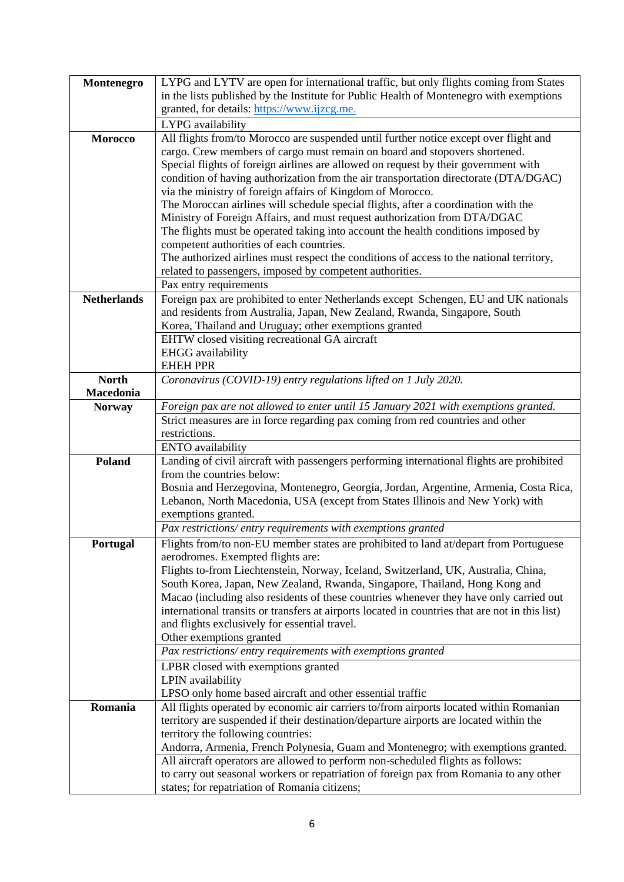| Montenegro         | LYPG and LYTV are open for international traffic, but only flights coming from States                                                                               |
|--------------------|---------------------------------------------------------------------------------------------------------------------------------------------------------------------|
|                    | in the lists published by the Institute for Public Health of Montenegro with exemptions                                                                             |
|                    | granted, for details: https://www.ijzcg.me.                                                                                                                         |
|                    |                                                                                                                                                                     |
|                    | LYPG availability                                                                                                                                                   |
| <b>Morocco</b>     | All flights from/to Morocco are suspended until further notice except over flight and<br>cargo. Crew members of cargo must remain on board and stopovers shortened. |
|                    |                                                                                                                                                                     |
|                    | Special flights of foreign airlines are allowed on request by their government with                                                                                 |
|                    | condition of having authorization from the air transportation directorate (DTA/DGAC)                                                                                |
|                    | via the ministry of foreign affairs of Kingdom of Morocco.<br>The Moroccan airlines will schedule special flights, after a coordination with the                    |
|                    | Ministry of Foreign Affairs, and must request authorization from DTA/DGAC                                                                                           |
|                    | The flights must be operated taking into account the health conditions imposed by                                                                                   |
|                    | competent authorities of each countries.                                                                                                                            |
|                    | The authorized airlines must respect the conditions of access to the national territory,                                                                            |
|                    | related to passengers, imposed by competent authorities.                                                                                                            |
|                    | Pax entry requirements                                                                                                                                              |
| <b>Netherlands</b> | Foreign pax are prohibited to enter Netherlands except Schengen, EU and UK nationals                                                                                |
|                    | and residents from Australia, Japan, New Zealand, Rwanda, Singapore, South                                                                                          |
|                    | Korea, Thailand and Uruguay; other exemptions granted                                                                                                               |
|                    | EHTW closed visiting recreational GA aircraft                                                                                                                       |
|                    | <b>EHGG</b> availability                                                                                                                                            |
|                    | <b>EHEH PPR</b>                                                                                                                                                     |
| <b>North</b>       | Coronavirus (COVID-19) entry regulations lifted on 1 July 2020.                                                                                                     |
| Macedonia          |                                                                                                                                                                     |
| <b>Norway</b>      | Foreign pax are not allowed to enter until 15 January 2021 with exemptions granted.                                                                                 |
|                    | Strict measures are in force regarding pax coming from red countries and other                                                                                      |
|                    | restrictions.                                                                                                                                                       |
|                    | <b>ENTO</b> availability                                                                                                                                            |
| Poland             | Landing of civil aircraft with passengers performing international flights are prohibited                                                                           |
|                    | from the countries below:                                                                                                                                           |
|                    | Bosnia and Herzegovina, Montenegro, Georgia, Jordan, Argentine, Armenia, Costa Rica,                                                                                |
|                    | Lebanon, North Macedonia, USA (except from States Illinois and New York) with                                                                                       |
|                    | exemptions granted.                                                                                                                                                 |
|                    | Pax restrictions/entry requirements with exemptions granted                                                                                                         |
| Portugal           | Flights from/to non-EU member states are prohibited to land at/depart from Portuguese                                                                               |
|                    | aerodromes. Exempted flights are:                                                                                                                                   |
|                    | Flights to-from Liechtenstein, Norway, Iceland, Switzerland, UK, Australia, China,                                                                                  |
|                    | South Korea, Japan, New Zealand, Rwanda, Singapore, Thailand, Hong Kong and                                                                                         |
|                    | Macao (including also residents of these countries whenever they have only carried out                                                                              |
|                    | international transits or transfers at airports located in countries that are not in this list)                                                                     |
|                    | and flights exclusively for essential travel.                                                                                                                       |
|                    | Other exemptions granted                                                                                                                                            |
|                    | Pax restrictions/entry requirements with exemptions granted                                                                                                         |
|                    | LPBR closed with exemptions granted                                                                                                                                 |
|                    | LPIN availability                                                                                                                                                   |
|                    | LPSO only home based aircraft and other essential traffic                                                                                                           |
| Romania            | All flights operated by economic air carriers to/from airports located within Romanian                                                                              |
|                    | territory are suspended if their destination/departure airports are located within the                                                                              |
|                    | territory the following countries:                                                                                                                                  |
|                    | Andorra, Armenia, French Polynesia, Guam and Montenegro; with exemptions granted.                                                                                   |
|                    | All aircraft operators are allowed to perform non-scheduled flights as follows:                                                                                     |
|                    | to carry out seasonal workers or repatriation of foreign pax from Romania to any other                                                                              |
|                    | states; for repatriation of Romania citizens;                                                                                                                       |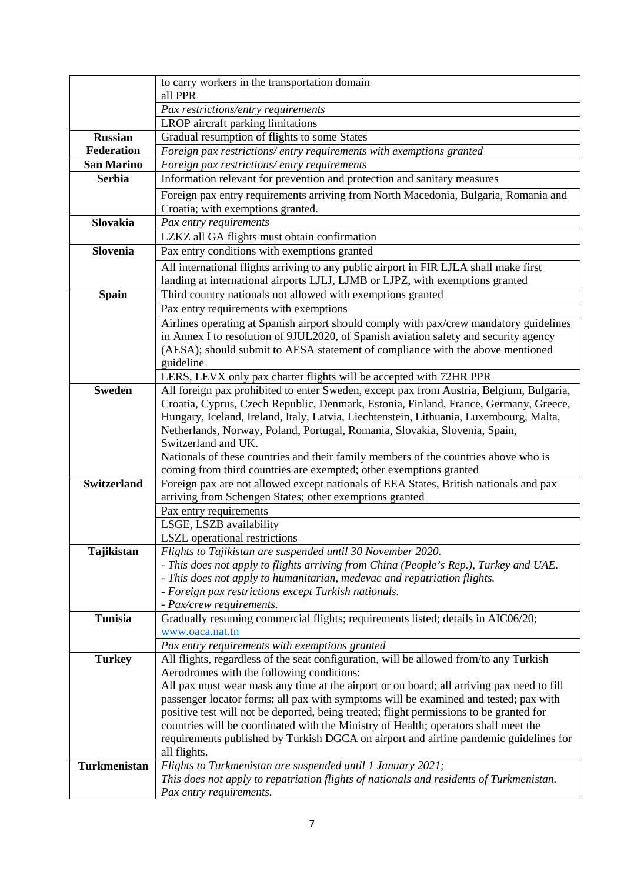|                    | to carry workers in the transportation domain<br>all PPR                                                                                                    |
|--------------------|-------------------------------------------------------------------------------------------------------------------------------------------------------------|
|                    | Pax restrictions/entry requirements                                                                                                                         |
|                    | LROP aircraft parking limitations                                                                                                                           |
| <b>Russian</b>     | Gradual resumption of flights to some States                                                                                                                |
| <b>Federation</b>  | Foreign pax restrictions/entry requirements with exemptions granted                                                                                         |
| <b>San Marino</b>  | Foreign pax restrictions/entry requirements                                                                                                                 |
| <b>Serbia</b>      | Information relevant for prevention and protection and sanitary measures                                                                                    |
|                    | Foreign pax entry requirements arriving from North Macedonia, Bulgaria, Romania and                                                                         |
|                    | Croatia; with exemptions granted.                                                                                                                           |
| <b>Slovakia</b>    | Pax entry requirements                                                                                                                                      |
|                    |                                                                                                                                                             |
|                    | LZKZ all GA flights must obtain confirmation                                                                                                                |
| Slovenia           | Pax entry conditions with exemptions granted                                                                                                                |
|                    | All international flights arriving to any public airport in FIR LJLA shall make first                                                                       |
|                    | landing at international airports LJLJ, LJMB or LJPZ, with exemptions granted                                                                               |
| <b>Spain</b>       | Third country nationals not allowed with exemptions granted                                                                                                 |
|                    | Pax entry requirements with exemptions                                                                                                                      |
|                    | Airlines operating at Spanish airport should comply with pax/crew mandatory guidelines                                                                      |
|                    | in Annex I to resolution of 9JUL2020, of Spanish aviation safety and security agency                                                                        |
|                    | (AESA); should submit to AESA statement of compliance with the above mentioned                                                                              |
|                    | guideline                                                                                                                                                   |
|                    | LERS, LEVX only pax charter flights will be accepted with 72HR PPR                                                                                          |
| <b>Sweden</b>      | All foreign pax prohibited to enter Sweden, except pax from Austria, Belgium, Bulgaria,                                                                     |
|                    | Croatia, Cyprus, Czech Republic, Denmark, Estonia, Finland, France, Germany, Greece,                                                                        |
|                    | Hungary, Iceland, Ireland, Italy, Latvia, Liechtenstein, Lithuania, Luxembourg, Malta,                                                                      |
|                    | Netherlands, Norway, Poland, Portugal, Romania, Slovakia, Slovenia, Spain,                                                                                  |
|                    | Switzerland and UK.                                                                                                                                         |
|                    | Nationals of these countries and their family members of the countries above who is                                                                         |
| <b>Switzerland</b> | coming from third countries are exempted; other exemptions granted<br>Foreign pax are not allowed except nationals of EEA States, British nationals and pax |
|                    | arriving from Schengen States; other exemptions granted                                                                                                     |
|                    | Pax entry requirements                                                                                                                                      |
|                    | LSGE, LSZB availability                                                                                                                                     |
|                    | <b>LSZL</b> operational restrictions                                                                                                                        |
| Tajikistan         | Flights to Tajikistan are suspended until 30 November 2020.                                                                                                 |
|                    | - This does not apply to flights arriving from China (People's Rep.), Turkey and UAE.                                                                       |
|                    | - This does not apply to humanitarian, medevac and repatriation flights.                                                                                    |
|                    | - Foreign pax restrictions except Turkish nationals.                                                                                                        |
|                    | - Pax/crew requirements.                                                                                                                                    |
| <b>Tunisia</b>     | Gradually resuming commercial flights; requirements listed; details in AIC06/20;                                                                            |
|                    | www.oaca.nat.tn                                                                                                                                             |
|                    | Pax entry requirements with exemptions granted                                                                                                              |
| <b>Turkey</b>      | All flights, regardless of the seat configuration, will be allowed from/to any Turkish                                                                      |
|                    | Aerodromes with the following conditions:                                                                                                                   |
|                    | All pax must wear mask any time at the airport or on board; all arriving pax need to fill                                                                   |
|                    | passenger locator forms; all pax with symptoms will be examined and tested; pax with                                                                        |
|                    | positive test will not be deported, being treated; flight permissions to be granted for                                                                     |
|                    | countries will be coordinated with the Ministry of Health; operators shall meet the                                                                         |
|                    | requirements published by Turkish DGCA on airport and airline pandemic guidelines for                                                                       |
|                    | all flights.                                                                                                                                                |
| Turkmenistan       | Flights to Turkmenistan are suspended until 1 January 2021;                                                                                                 |
|                    | This does not apply to repatriation flights of nationals and residents of Turkmenistan.                                                                     |
|                    | Pax entry requirements.                                                                                                                                     |